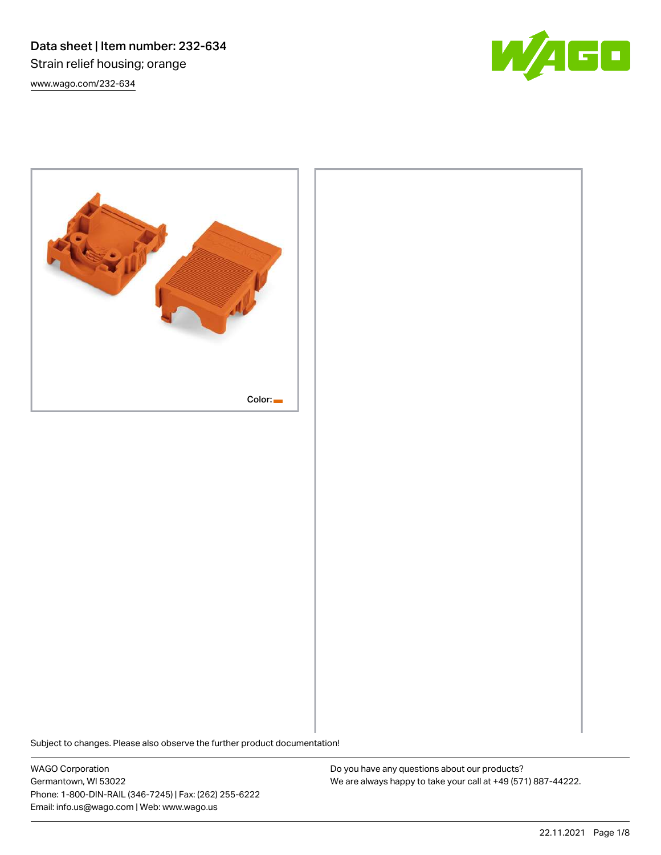Data sheet | Item number: 232-634 Strain relief housing; orange [www.wago.com/232-634](http://www.wago.com/232-634)





Subject to changes. Please also observe the further product documentation! Dimensions in mm

WAGO Corporation Germantown, WI 53022 Phone: 1-800-DIN-RAIL (346-7245) | Fax: (262) 255-6222 Email: info.us@wago.com | Web: www.wago.us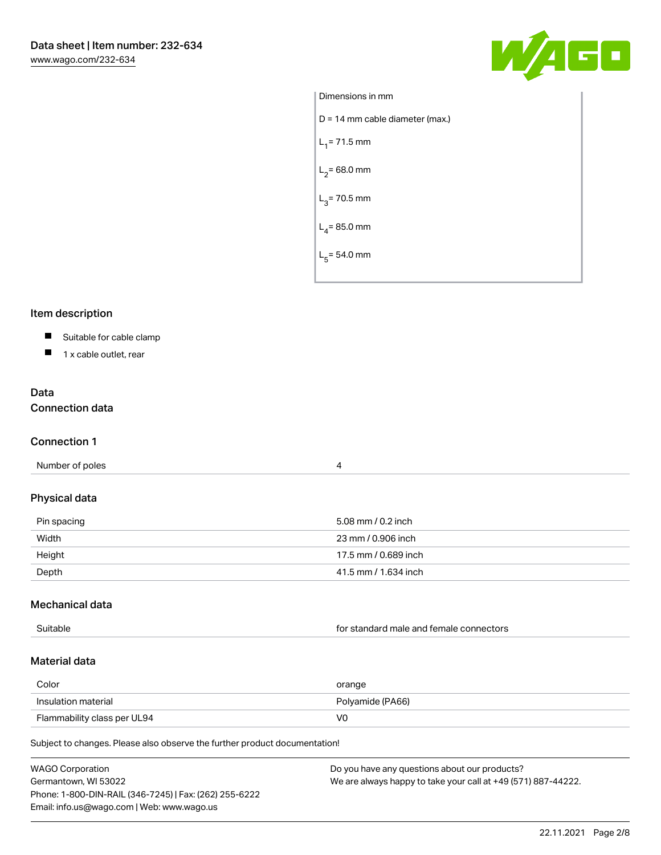

| Dimensions in mm                  |
|-----------------------------------|
| $D = 14$ mm cable diameter (max.) |
| $L_1$ = 71.5 mm                   |
| $L_2$ = 68.0 mm                   |
| $L_3$ = 70.5 mm                   |
| $L_4$ = 85.0 mm                   |
| $L_5$ = 54.0 mm                   |
|                                   |

# Item description

# Suitable for cable clamp

 $\blacksquare$  1 x cable outlet, rear

# Data Connection data

## Connection 1

| Number of poles |  |
|-----------------|--|

# Physical data

| Pin spacing | 5.08 mm / 0.2 inch   |
|-------------|----------------------|
| Width       | 23 mm / 0.906 inch   |
| Height      | 17.5 mm / 0.689 inch |
| Depth       | 41.5 mm / 1.634 inch |

## Mechanical data

| Suitable | for standard male and female connectors |
|----------|-----------------------------------------|
|          |                                         |

# Material data

| Color                       | orange           |
|-----------------------------|------------------|
| Insulation material         | Polyamide (PA66) |
| Flammability class per UL94 | V0               |

Subject to changes. Please also observe the further product documentation!

| <b>WAGO Corporation</b>                                | Do you have any questions about our products?                 |
|--------------------------------------------------------|---------------------------------------------------------------|
| Germantown, WI 53022                                   | We are always happy to take your call at +49 (571) 887-44222. |
| Phone: 1-800-DIN-RAIL (346-7245)   Fax: (262) 255-6222 |                                                               |
| Email: info.us@wago.com   Web: www.wago.us             |                                                               |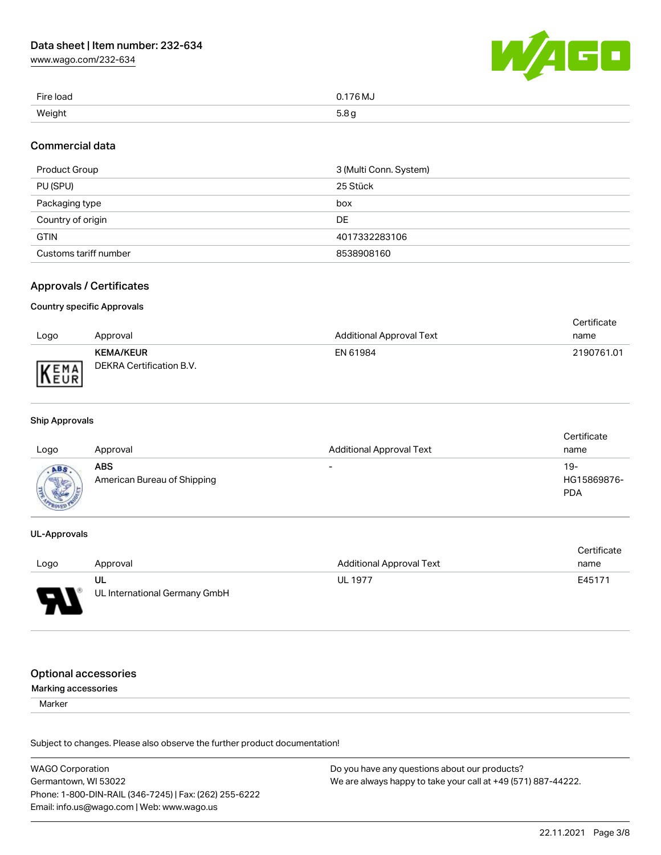[www.wago.com/232-634](http://www.wago.com/232-634)



| Fire load | 0.176 MJ               |
|-----------|------------------------|
| Weight    | 5.8 <sub>g</sub><br>ي: |

## Commercial data

| Product Group         | 3 (Multi Conn. System) |
|-----------------------|------------------------|
| PU (SPU)              | 25 Stück               |
| Packaging type        | box                    |
| Country of origin     | DE                     |
| <b>GTIN</b>           | 4017332283106          |
| Customs tariff number | 8538908160             |

# Approvals / Certificates

## Country specific Approvals

|      |                          |                                 | Certificate |
|------|--------------------------|---------------------------------|-------------|
| Logo | Approval                 | <b>Additional Approval Text</b> | name        |
|      | <b>KEMA/KEUR</b>         | EN 61984                        | 2190761.01  |
| KEMA | DEKRA Certification B.V. |                                 |             |

## Ship Approvals

| Logo | Approval                           | <b>Additional Approval Text</b> | Certificate<br>name              |
|------|------------------------------------|---------------------------------|----------------------------------|
| ABS. | ABS<br>American Bureau of Shipping | $\overline{\phantom{0}}$        | 19-<br>HG15869876-<br><b>PDA</b> |

## UL-Approvals

|      |                               |                          | Certificate |
|------|-------------------------------|--------------------------|-------------|
| Logo | Approval                      | Additional Approval Text | name        |
|      | UL                            | <b>UL 1977</b>           | E45171      |
| Б    | UL International Germany GmbH |                          |             |

# Optional accessories

## Marking accessories

Marker

Subject to changes. Please also observe the further product documentation!

| <b>WAGO Corporation</b>                                | Do you have any questions about our products?                 |
|--------------------------------------------------------|---------------------------------------------------------------|
| Germantown, WI 53022                                   | We are always happy to take your call at +49 (571) 887-44222. |
| Phone: 1-800-DIN-RAIL (346-7245)   Fax: (262) 255-6222 |                                                               |
| Email: info.us@wago.com   Web: www.wago.us             |                                                               |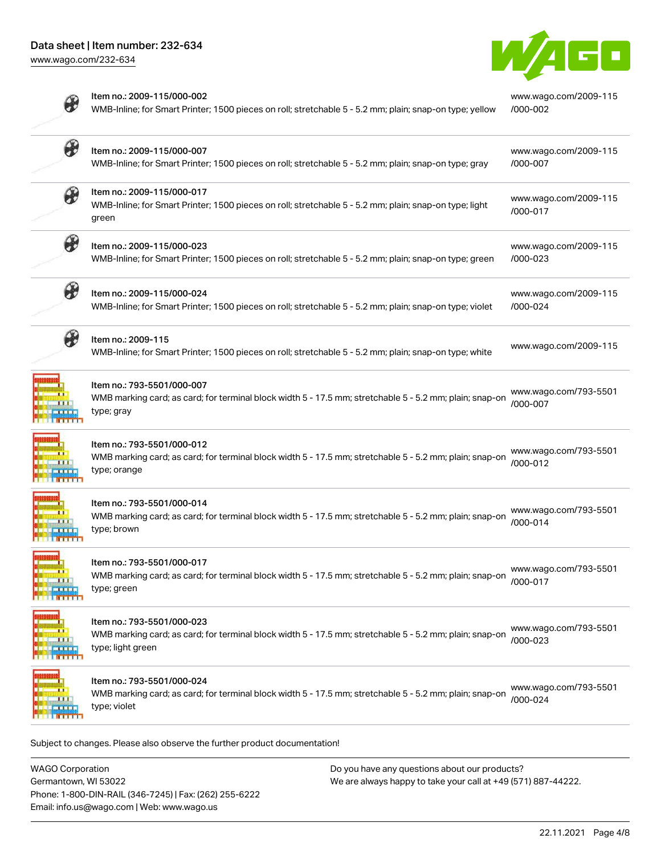[www.wago.com/232-634](http://www.wago.com/232-634)

Z

**HANARA**<br>Analysis<br>Analysis<br>Analysis



|                           | Item no.: 2009-115/000-002<br>WMB-Inline; for Smart Printer; 1500 pieces on roll; stretchable 5 - 5.2 mm; plain; snap-on type; yellow                      | www.wago.com/2009-115<br>/000-002 |
|---------------------------|------------------------------------------------------------------------------------------------------------------------------------------------------------|-----------------------------------|
| ₩                         | Item no.: 2009-115/000-007<br>WMB-Inline; for Smart Printer; 1500 pieces on roll; stretchable 5 - 5.2 mm; plain; snap-on type; gray                        | www.wago.com/2009-115<br>/000-007 |
| $\bm{\theta}$             | Item no.: 2009-115/000-017<br>WMB-Inline; for Smart Printer; 1500 pieces on roll; stretchable 5 - 5.2 mm; plain; snap-on type; light<br>green              | www.wago.com/2009-115<br>/000-017 |
| ₩                         | Item no.: 2009-115/000-023<br>WMB-Inline; for Smart Printer; 1500 pieces on roll; stretchable 5 - 5.2 mm; plain; snap-on type; green                       | www.wago.com/2009-115<br>/000-023 |
| $\boldsymbol{\theta}$     | Item no.: 2009-115/000-024<br>WMB-Inline; for Smart Printer; 1500 pieces on roll; stretchable 5 - 5.2 mm; plain; snap-on type; violet                      | www.wago.com/2009-115<br>/000-024 |
| $\bm{\theta}$             | Item no.: 2009-115<br>WMB-Inline; for Smart Printer; 1500 pieces on roll; stretchable 5 - 5.2 mm; plain; snap-on type; white                               | www.wago.com/2009-115             |
|                           | Item no.: 793-5501/000-007<br>WMB marking card; as card; for terminal block width 5 - 17.5 mm; stretchable 5 - 5.2 mm; plain; snap-on<br>type; gray        | www.wago.com/793-5501<br>/000-007 |
|                           | Item no.: 793-5501/000-012<br>WMB marking card; as card; for terminal block width 5 - 17.5 mm; stretchable 5 - 5.2 mm; plain; snap-on<br>type; orange      | www.wago.com/793-5501<br>/000-012 |
|                           | Item no.: 793-5501/000-014<br>WMB marking card; as card; for terminal block width 5 - 17.5 mm; stretchable 5 - 5.2 mm; plain; snap-on<br>type; brown       | www.wago.com/793-5501<br>/000-014 |
| ш<br>Ш<br><b>III</b>      | Item no.: 793-5501/000-017<br>WMB marking card; as card; for terminal block width 5 - 17.5 mm; stretchable 5 - 5.2 mm; plain; snap-on<br>type; green       | www.wago.com/793-5501<br>/000-017 |
| l,<br><b>TTT</b>          | ltem no.: 793-5501/000-023<br>WMB marking card; as card; for terminal block width 5 - 17.5 mm; stretchable 5 - 5.2 mm; plain; snap-on<br>type; light green | www.wago.com/793-5501<br>/000-023 |
| l.<br>Hi<br><b>A 1919</b> | Item no.: 793-5501/000-024<br>WMB marking card; as card; for terminal block width 5 - 17.5 mm; stretchable 5 - 5.2 mm; plain; snap-on<br>type; violet      | www.wago.com/793-5501<br>/000-024 |

Subject to changes. Please also observe the further product documentation!

WAGO Corporation Germantown, WI 53022 Phone: 1-800-DIN-RAIL (346-7245) | Fax: (262) 255-6222 Email: info.us@wago.com | Web: www.wago.us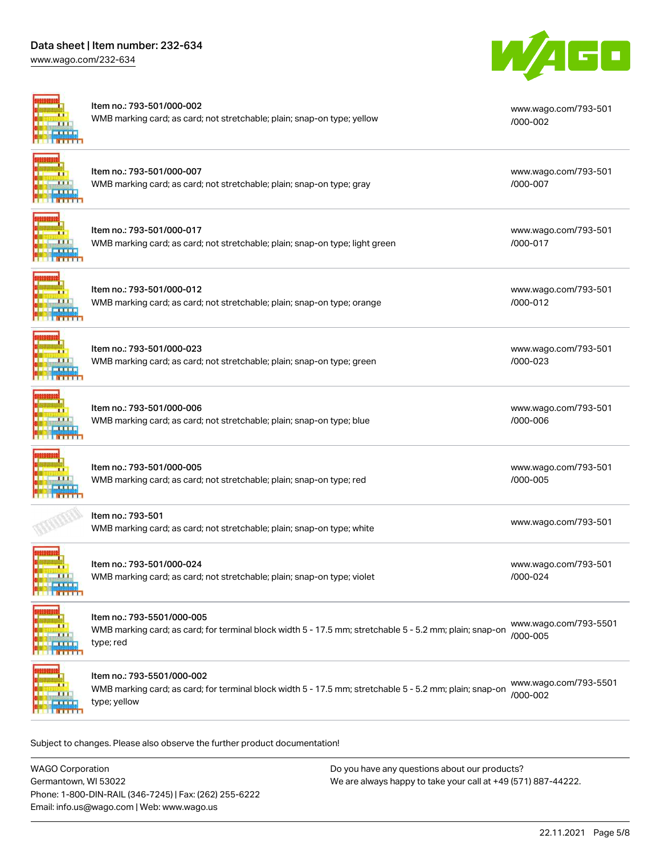# Data sheet | Item number: 232-634

[www.wago.com/232-634](http://www.wago.com/232-634)



| Item no.: 793-501/000-007<br>WMB marking card; as card; not stretchable; plain; snap-on type; gray<br>Item no.: 793-501/000-017<br>WMB marking card; as card; not stretchable; plain; snap-on type; light green<br>Item no.: 793-501/000-012<br>WMB marking card; as card; not stretchable; plain; snap-on type; orange | www.wago.com/793-501<br>/000-007<br>www.wago.com/793-501<br>/000-017<br>www.wago.com/793-501 |
|-------------------------------------------------------------------------------------------------------------------------------------------------------------------------------------------------------------------------------------------------------------------------------------------------------------------------|----------------------------------------------------------------------------------------------|
|                                                                                                                                                                                                                                                                                                                         |                                                                                              |
|                                                                                                                                                                                                                                                                                                                         |                                                                                              |
|                                                                                                                                                                                                                                                                                                                         | /000-012                                                                                     |
| Item no.: 793-501/000-023<br>WMB marking card; as card; not stretchable; plain; snap-on type; green                                                                                                                                                                                                                     | www.wago.com/793-501<br>/000-023                                                             |
| Item no.: 793-501/000-006<br>WMB marking card; as card; not stretchable; plain; snap-on type; blue                                                                                                                                                                                                                      | www.wago.com/793-501<br>/000-006                                                             |
| Item no.: 793-501/000-005<br>WMB marking card; as card; not stretchable; plain; snap-on type; red                                                                                                                                                                                                                       | www.wago.com/793-501<br>/000-005                                                             |
| Item no.: 793-501<br>WMB marking card; as card; not stretchable; plain; snap-on type; white                                                                                                                                                                                                                             | www.wago.com/793-501                                                                         |
| ltem no.: 793-501/000-024<br>WMB marking card; as card; not stretchable; plain; snap-on type; violet                                                                                                                                                                                                                    | www.wago.com/793-501<br>/000-024                                                             |
| Item no.: 793-5501/000-005<br>WMB marking card; as card; for terminal block width 5 - 17.5 mm; stretchable 5 - 5.2 mm; plain; snap-on<br>type; red                                                                                                                                                                      | www.wago.com/793-5501<br>/000-005                                                            |
| Item no.: 793-5501/000-002<br>WMB marking card; as card; for terminal block width 5 - 17.5 mm; stretchable 5 - 5.2 mm; plain; snap-on                                                                                                                                                                                   | www.wago.com/793-5501<br>/000-002                                                            |
|                                                                                                                                                                                                                                                                                                                         | type; yellow                                                                                 |

WAGO Corporation Germantown, WI 53022 Phone: 1-800-DIN-RAIL (346-7245) | Fax: (262) 255-6222 Email: info.us@wago.com | Web: www.wago.us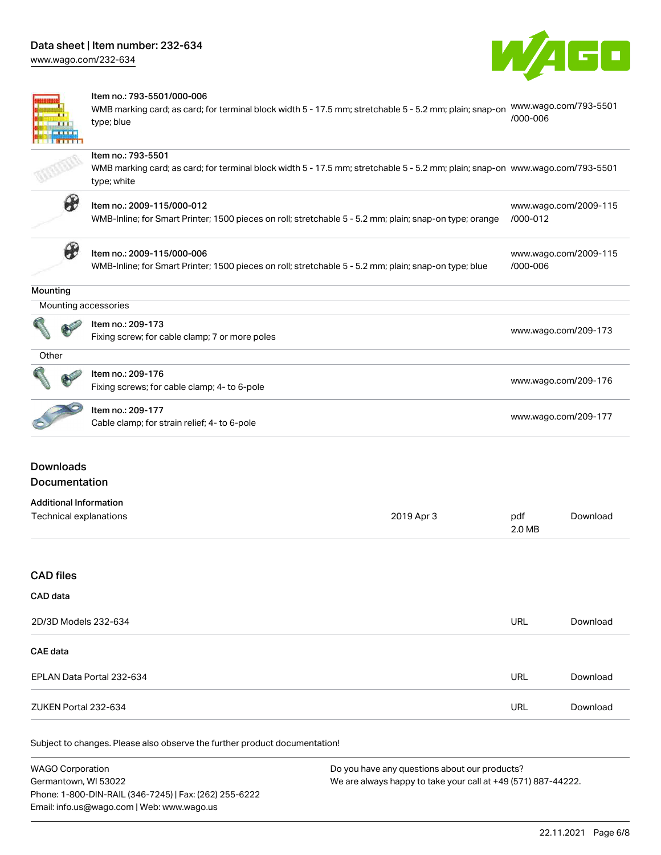[www.wago.com/232-634](http://www.wago.com/232-634)



[www.wago.com/2009-115](http://www.wago.com/2009-115/000-012)

[www.wago.com/2009-115](http://www.wago.com/2009-115/000-006)

[/000-006](http://www.wago.com/2009-115/000-006)



#### Item no.: 793-5501/000-006

WMB marking card; as card; for terminal block width 5 - 17.5 mm; stretchable 5 - 5.2 mm; plain; snap-on [www.wago.com/793-5501](http://www.wago.com/793-5501/000-006) type; blue [/000-006](http://www.wago.com/793-5501/000-006)

#### Item no.: 793-5501

WMB marking card; as card; for terminal block width 5 - 17.5 mm; stretchable 5 - 5.2 mm; plain; snap-on [www.wago.com/793-5501](http://www.wago.com/793-5501) type; white



## Item no.: 2009-115/000-012

WMB-Inline; for Smart Printer; 1500 pieces on roll; stretchable 5 - 5.2 mm; plain; snap-on type; orange [/000-012](http://www.wago.com/2009-115/000-012)



# Item no.: 2009-115/000-006

WMB-Inline; for Smart Printer; 1500 pieces on roll; stretchable 5 - 5.2 mm; plain; snap-on type; blue

#### **Mounting**

é

|   | Mounting accessories                           |                      |
|---|------------------------------------------------|----------------------|
| Q | Item no.: 209-173                              |                      |
|   | Fixing screw; for cable clamp; 7 or more poles | www.wago.com/209-173 |

| <b>Carpenter</b><br><b>ALL</b> | Item no.: 209-176                            | www.wago.com/209-176 |
|--------------------------------|----------------------------------------------|----------------------|
|                                | Fixing screws; for cable clamp; 4- to 6-pole |                      |

# Item no.: 209-177

nem no... 209-177<br>Cable clamp; for strain relief; 4- to 6-pole [www.wago.com/209-177](http://www.wago.com/209-177)

# Downloads Documentation

#### Additional Information Technical explanations and political explanations and political explanations and political explanations of political explanations of political explanations of political explanations of political explanations of political e 2.0 MB [Download](https://www.wago.com/global/d/1435602)

## CAD files

### CAD data

| 2D/3D Models 232-634      | URL        | Download |
|---------------------------|------------|----------|
| CAE data                  |            |          |
| EPLAN Data Portal 232-634 | URL        | Download |
| ZUKEN Portal 232-634      | <b>URL</b> | Download |

Subject to changes. Please also observe the further product documentation!

| <b>WAGO Corporation</b>                                | Do you have any questions about our products?                 |  |
|--------------------------------------------------------|---------------------------------------------------------------|--|
| Germantown, WI 53022                                   | We are always happy to take your call at +49 (571) 887-44222. |  |
| Phone: 1-800-DIN-RAIL (346-7245)   Fax: (262) 255-6222 |                                                               |  |
| Email: info.us@wago.com   Web: www.wago.us             |                                                               |  |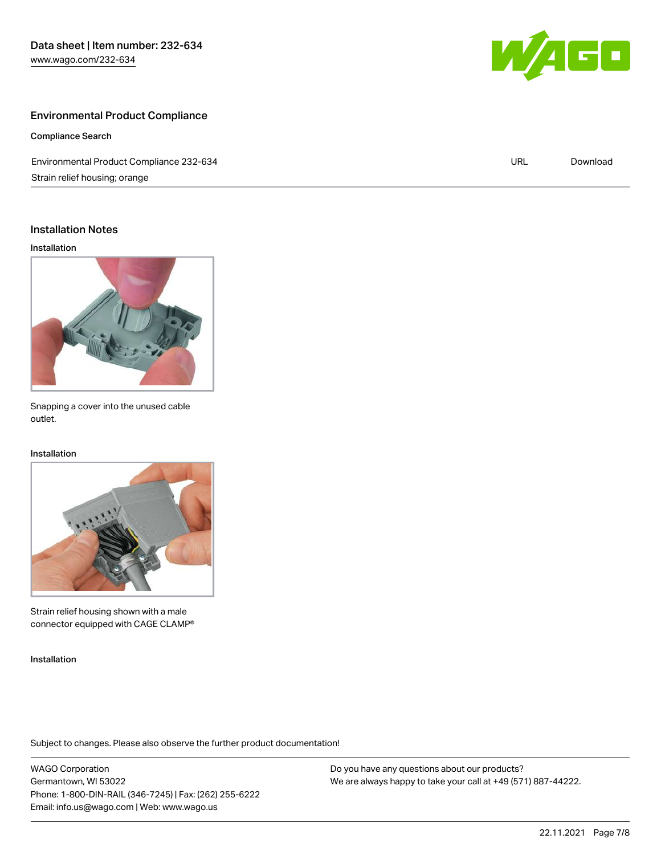# Environmental Product Compliance

Compliance Search

Environmental Product Compliance 232-634 Strain relief housing; orange URL [Download](https://www.wago.com/global/d/ComplianceLinkMediaContainer_232-634)

## Installation Notes

Installation



Snapping a cover into the unused cable outlet.

#### Installation



Strain relief housing shown with a male connector equipped with CAGE CLAMP®

Installation

Subject to changes. Please also observe the further product documentation!

WAGO Corporation Germantown, WI 53022 Phone: 1-800-DIN-RAIL (346-7245) | Fax: (262) 255-6222 Email: info.us@wago.com | Web: www.wago.us